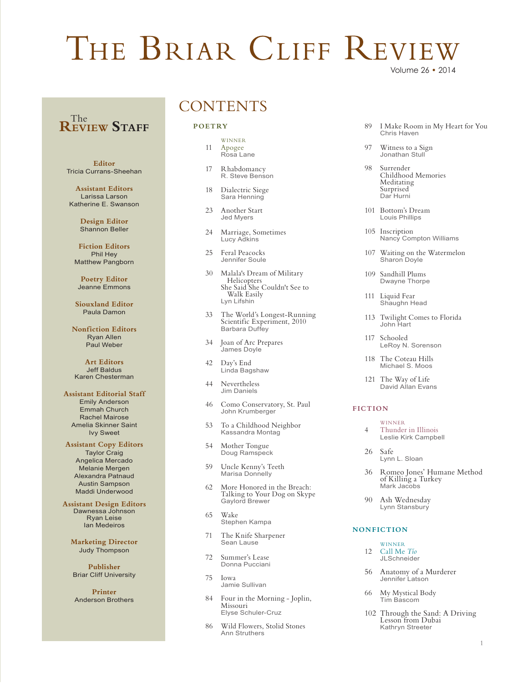# THE BRIAR CLIFF REVIE

### **REVIEW Staff** The

**Editor** Tricia Currans-Sheehan

**Assistant Editors** Larissa Larson Katherine E. Swanson

> **Design Editor** Shannon Beller

**Fiction Editors** Phil Hey Matthew Pangborn

**Poetry Editor** Jeanne Emmons

**Siouxland Editor** Paula Damon

**Nonfiction Editors** Ryan Allen Paul Weber

**Art Editors** Jeff Baldus Karen Chesterman

### **Assistant Editorial Staff**

Emily Anderson Emmah Church Rachel Mairose Amelia Skinner Saint Ivy Sweet

### **Assistant Copy Editors**

Taylor Craig Angelica Mercado Melanie Mergen Alexandra Patnaud Austin Sampson Maddi Underwood

**Assistant Design Editors** Dawnessa Johnson

Ryan Leise Ian Medeiros

**Marketing Director** Judy Thompson

**Publisher** Briar Cliff University

**Printer** Anderson Brothers

### **CONTENTS**

### **POETRY**

- WINNER 11 Apogee<br>Rosa Lane
- 17 RhabdomancyR. Steve Benson
- 18 Dialectric Siege Sara Henning
- 23 Another StartJed Myers
- 24 Marriage, Sometimes Lucy Adkins
- 25 Feral PeacocksJennifer Soule
- <sup>30</sup> Malala's Dream of Military Helicopters She Said She Couldn't See to Walk EasilyLyn Lifshin
- <sup>33</sup> The World's Longest-Running Scientific Experiment, 2010 Barbara Duffey
- 34 Joan of Arc Prepares James Doyle
- 42 Day's End Linda Bagshaw
- 44 Nevertheless Jim Daniels
- 46 Como Conservatory, St. Paul John Krumberger
- 53 To a Childhood Neighbor Kassandra Montag
- 54 Mother Tongue Doug Ramspeck
- 59 Uncle Kenny's Teeth Marisa Donnelly
- <sup>62</sup> More Honored in the Breach: Talking to Your Dog on SkypeGaylord Brewer
- 65 WakeStephen Kampa
- 71 The Knife SharpenerSean Lause
- 72 Summer's Lease Donna Pucciani
- 75 IowaJamie Sullivan
- <sup>84</sup> Four in the Morning Joplin, Missouri Elyse Schuler-Cruz
- 86 Wild Flowers, Stolid Stones Ann Struthers
- <sup>89</sup> I Make Room in My Heart for You Chris Haven
- 97 Witness to a SignJonathan Stull
- <sup>98</sup> Surrender Childhood Memories Meditating Surprised Dar Hurni
- 101 Bottom's DreamLouis Phillips
- 105 InscriptionNancy Compton Williams
- 107 Waiting on the Watermelon Sharon Doyle
- 109 Sandhill PlumsDwayne Thorpe
- 111 Liquid FearShaughn Head
- 113 Twilight Comes to FloridaJohn Hart
- 117 SchooledLeRoy N. Sorenson
- 118 The Coteau HillsMichael S. Moos
- 121 The Way of LifeDavid Allan Evans

### **FICTION**

- WINNER
- 4 Thunder in IllinoisLeslie Kirk Campbell
- 26 SafeLynn L. Sloan
- <sup>36</sup> Romeo Jones' Humane Method of Killing a TurkeyMark Jacobs
- 90 Ash WednesdayLynn Stansbury

### **NONFICTION**

- WINNER 12 Call Me *Tío*JLSchneider
- 56 Anatomy of a MurdererJennifer Latson
- 66 My Mystical Body Tim Bascom
- <sup>102</sup> Through the Sand: A Driving Lesson from DubaiKathryn Streeter

## Volume 26 • 2014